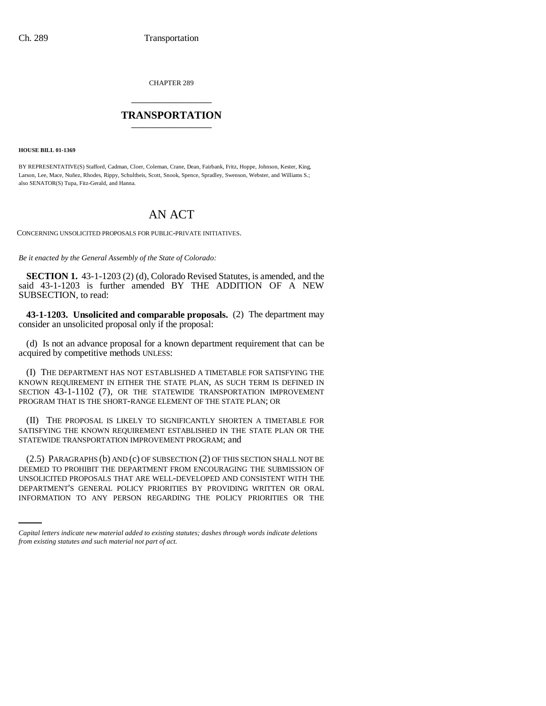CHAPTER 289 \_\_\_\_\_\_\_\_\_\_\_\_\_\_\_

## **TRANSPORTATION** \_\_\_\_\_\_\_\_\_\_\_\_\_\_\_

**HOUSE BILL 01-1369**

BY REPRESENTATIVE(S) Stafford, Cadman, Cloer, Coleman, Crane, Dean, Fairbank, Fritz, Hoppe, Johnson, Kester, King, Larson, Lee, Mace, Nuñez, Rhodes, Rippy, Schultheis, Scott, Snook, Spence, Spradley, Swenson, Webster, and Williams S.; also SENATOR(S) Tupa, Fitz-Gerald, and Hanna.

## AN ACT

CONCERNING UNSOLICITED PROPOSALS FOR PUBLIC-PRIVATE INITIATIVES.

*Be it enacted by the General Assembly of the State of Colorado:*

**SECTION 1.** 43-1-1203 (2) (d), Colorado Revised Statutes, is amended, and the said 43-1-1203 is further amended BY THE ADDITION OF A NEW SUBSECTION, to read:

**43-1-1203. Unsolicited and comparable proposals.** (2) The department may consider an unsolicited proposal only if the proposal:

(d) Is not an advance proposal for a known department requirement that can be acquired by competitive methods UNLESS:

(I) THE DEPARTMENT HAS NOT ESTABLISHED A TIMETABLE FOR SATISFYING THE KNOWN REQUIREMENT IN EITHER THE STATE PLAN, AS SUCH TERM IS DEFINED IN SECTION 43-1-1102 (7), OR THE STATEWIDE TRANSPORTATION IMPROVEMENT PROGRAM THAT IS THE SHORT-RANGE ELEMENT OF THE STATE PLAN; OR

(II) THE PROPOSAL IS LIKELY TO SIGNIFICANTLY SHORTEN A TIMETABLE FOR SATISFYING THE KNOWN REQUIREMENT ESTABLISHED IN THE STATE PLAN OR THE STATEWIDE TRANSPORTATION IMPROVEMENT PROGRAM; and

UNSOLICITED PROPOSALS THAT ARE WELL-DEVELOPED AND CONSISTENT WITH THE (2.5) PARAGRAPHS (b) AND (c) OF SUBSECTION (2) OF THIS SECTION SHALL NOT BE DEEMED TO PROHIBIT THE DEPARTMENT FROM ENCOURAGING THE SUBMISSION OF DEPARTMENT'S GENERAL POLICY PRIORITIES BY PROVIDING WRITTEN OR ORAL INFORMATION TO ANY PERSON REGARDING THE POLICY PRIORITIES OR THE

*Capital letters indicate new material added to existing statutes; dashes through words indicate deletions from existing statutes and such material not part of act.*